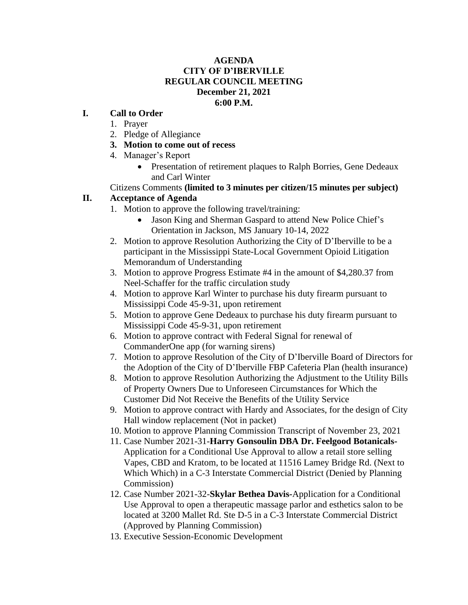#### **AGENDA CITY OF D'IBERVILLE REGULAR COUNCIL MEETING December 21, 2021 6:00 P.M.**

### **I. Call to Order**

- 1. Prayer
- 2. Pledge of Allegiance
- **3. Motion to come out of recess**
- 4. Manager's Report
	- Presentation of retirement plaques to Ralph Borries, Gene Dedeaux and Carl Winter
- Citizens Comments **(limited to 3 minutes per citizen/15 minutes per subject)**

### **II. Acceptance of Agenda**

- 1. Motion to approve the following travel/training:
	- Jason King and Sherman Gaspard to attend New Police Chief's Orientation in Jackson, MS January 10-14, 2022
- 2. Motion to approve Resolution Authorizing the City of D'Iberville to be a participant in the Mississippi State-Local Government Opioid Litigation Memorandum of Understanding
- 3. Motion to approve Progress Estimate #4 in the amount of \$4,280.37 from Neel-Schaffer for the traffic circulation study
- 4. Motion to approve Karl Winter to purchase his duty firearm pursuant to Mississippi Code 45-9-31, upon retirement
- 5. Motion to approve Gene Dedeaux to purchase his duty firearm pursuant to Mississippi Code 45-9-31, upon retirement
- 6. Motion to approve contract with Federal Signal for renewal of CommanderOne app (for warning sirens)
- 7. Motion to approve Resolution of the City of D'Iberville Board of Directors for the Adoption of the City of D'Iberville FBP Cafeteria Plan (health insurance)
- 8. Motion to approve Resolution Authorizing the Adjustment to the Utility Bills of Property Owners Due to Unforeseen Circumstances for Which the Customer Did Not Receive the Benefits of the Utility Service
- 9. Motion to approve contract with Hardy and Associates, for the design of City Hall window replacement (Not in packet)
- 10. Motion to approve Planning Commission Transcript of November 23, 2021
- 11. Case Number 2021-31-**Harry Gonsoulin DBA Dr. Feelgood Botanicals-**Application for a Conditional Use Approval to allow a retail store selling Vapes, CBD and Kratom, to be located at 11516 Lamey Bridge Rd. (Next to Which Which) in a C-3 Interstate Commercial District (Denied by Planning Commission)
- 12. Case Number 2021-32-**Skylar Bethea Davis-**Application for a Conditional Use Approval to open a therapeutic massage parlor and esthetics salon to be located at 3200 Mallet Rd. Ste D-5 in a C-3 Interstate Commercial District (Approved by Planning Commission)
- 13. Executive Session-Economic Development